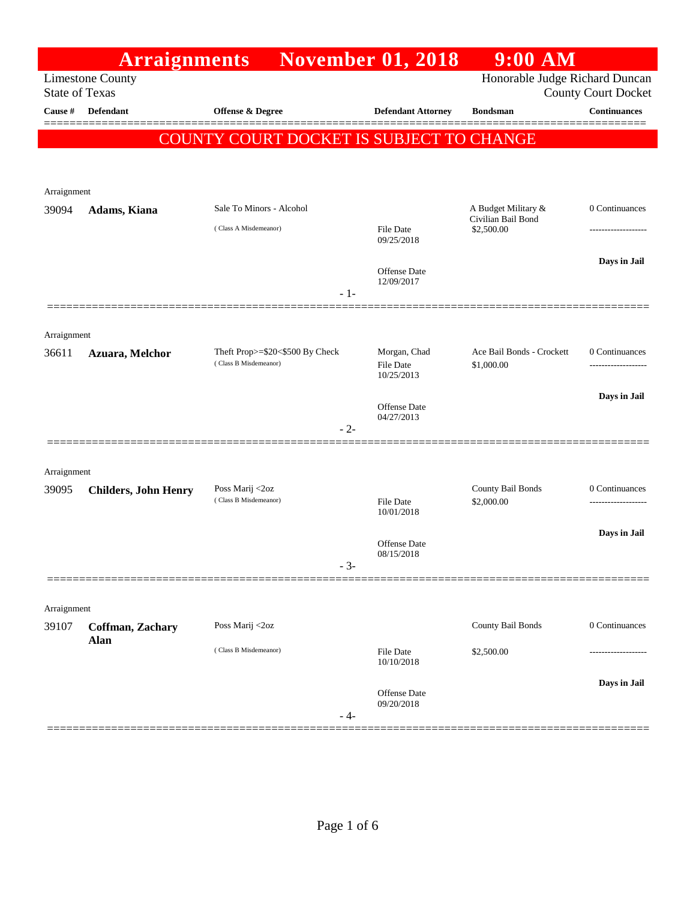|                                  | <b>Arraignments</b>         |                                          | <b>November 01, 2018</b>       | $9:00$ AM                        |                                                   |
|----------------------------------|-----------------------------|------------------------------------------|--------------------------------|----------------------------------|---------------------------------------------------|
|                                  | <b>Limestone County</b>     |                                          |                                | Honorable Judge Richard Duncan   |                                                   |
| <b>State of Texas</b><br>Cause # | Defendant                   | Offense & Degree                         | <b>Defendant Attorney</b>      | <b>Bondsman</b>                  | <b>County Court Docket</b><br><b>Continuances</b> |
|                                  |                             |                                          |                                |                                  |                                                   |
|                                  |                             | COUNTY COURT DOCKET IS SUBJECT TO CHANGE |                                |                                  |                                                   |
|                                  |                             |                                          |                                |                                  |                                                   |
| Arraignment                      |                             |                                          |                                |                                  |                                                   |
| 39094                            | Adams, Kiana                | Sale To Minors - Alcohol                 |                                | A Budget Military &              | 0 Continuances                                    |
|                                  |                             | (Class A Misdemeanor)                    | File Date                      | Civilian Bail Bond<br>\$2,500.00 | -------------------                               |
|                                  |                             |                                          | 09/25/2018                     |                                  |                                                   |
|                                  |                             |                                          | Offense Date                   |                                  | Days in Jail                                      |
|                                  |                             | $-1-$                                    | 12/09/2017                     |                                  |                                                   |
|                                  |                             |                                          |                                |                                  |                                                   |
| Arraignment                      |                             |                                          |                                |                                  |                                                   |
| 36611                            | Azuara, Melchor             | Theft Prop>=\$20<\$500 By Check          | Morgan, Chad                   | Ace Bail Bonds - Crockett        | 0 Continuances                                    |
|                                  |                             | (Class B Misdemeanor)                    | <b>File Date</b><br>10/25/2013 | \$1,000.00                       | .                                                 |
|                                  |                             |                                          |                                |                                  | Days in Jail                                      |
|                                  |                             |                                          | Offense Date<br>04/27/2013     |                                  |                                                   |
|                                  |                             | $-2-$                                    |                                |                                  |                                                   |
|                                  |                             |                                          |                                |                                  |                                                   |
| Arraignment                      |                             |                                          |                                |                                  |                                                   |
| 39095                            | <b>Childers, John Henry</b> | Poss Marij <2oz<br>(Class B Misdemeanor) | <b>File Date</b>               | County Bail Bonds<br>\$2,000.00  | 0 Continuances                                    |
|                                  |                             |                                          | 10/01/2018                     |                                  |                                                   |
|                                  |                             |                                          | Offense Date                   |                                  | Days in Jail                                      |
|                                  |                             |                                          | 08/15/2018                     |                                  |                                                   |
|                                  |                             | $-3-$                                    |                                |                                  |                                                   |
|                                  |                             |                                          |                                |                                  |                                                   |
| Arraignment<br>39107             |                             | Poss Marij <2oz                          |                                | County Bail Bonds                | 0 Continuances                                    |
|                                  | Coffman, Zachary<br>Alan    |                                          |                                |                                  |                                                   |
|                                  |                             | (Class B Misdemeanor)                    | <b>File Date</b><br>10/10/2018 | \$2,500.00                       |                                                   |
|                                  |                             |                                          |                                |                                  | Days in Jail                                      |
|                                  |                             |                                          | Offense Date<br>09/20/2018     |                                  |                                                   |
|                                  |                             | - 4-                                     |                                |                                  |                                                   |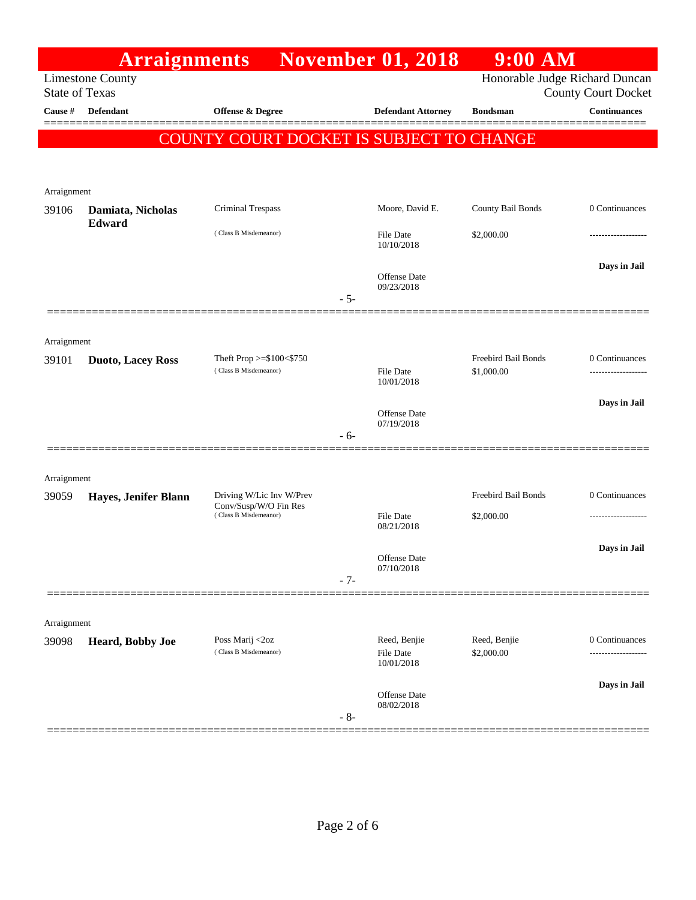| Honorable Judge Richard Duncan<br><b>Limestone County</b><br><b>State of Texas</b><br>Offense & Degree<br>Cause #<br>Defendant<br><b>Defendant Attorney</b><br><b>Bondsman</b><br>COUNTY COURT DOCKET IS SUBJECT TO CHANGE<br>Arraignment<br><b>Criminal Trespass</b><br>Moore, David E.<br>County Bail Bonds<br>39106<br>Damiata, Nicholas<br>Edward<br>(Class B Misdemeanor)<br>\$2,000.00<br><b>File Date</b><br>10/10/2018<br>Offense Date<br>09/23/2018<br>$-5-$<br>Arraignment<br>Freebird Bail Bonds<br>Theft Prop $>=$ \$100 $<$ \$750<br>39101<br><b>Duoto, Lacey Ross</b><br>(Class B Misdemeanor)<br>\$1,000.00<br><b>File Date</b><br>10/01/2018<br><b>Offense Date</b><br>07/19/2018<br>$-6-$<br>Arraignment<br>Freebird Bail Bonds<br>Driving W/Lic Inv W/Prev<br>39059<br>Hayes, Jenifer Blann<br>Conv/Susp/W/O Fin Res<br>(Class B Misdemeanor)<br><b>File Date</b><br>\$2,000.00<br>08/21/2018<br>Offense Date<br>07/10/2018<br>$-7-$<br>Arraignment<br>Reed, Benjie<br>Reed, Benjie<br>Poss Marij <2oz<br>39098<br>Heard, Bobby Joe<br>(Class B Misdemeanor)<br>\$2,000.00<br>File Date<br>10/01/2018 | <b>Arraignments</b> |  | <b>November 01, 2018</b> | $9:00$ AM |                            |
|-------------------------------------------------------------------------------------------------------------------------------------------------------------------------------------------------------------------------------------------------------------------------------------------------------------------------------------------------------------------------------------------------------------------------------------------------------------------------------------------------------------------------------------------------------------------------------------------------------------------------------------------------------------------------------------------------------------------------------------------------------------------------------------------------------------------------------------------------------------------------------------------------------------------------------------------------------------------------------------------------------------------------------------------------------------------------------------------------------------------------|---------------------|--|--------------------------|-----------|----------------------------|
|                                                                                                                                                                                                                                                                                                                                                                                                                                                                                                                                                                                                                                                                                                                                                                                                                                                                                                                                                                                                                                                                                                                         |                     |  |                          |           | <b>County Court Docket</b> |
|                                                                                                                                                                                                                                                                                                                                                                                                                                                                                                                                                                                                                                                                                                                                                                                                                                                                                                                                                                                                                                                                                                                         |                     |  |                          |           | <b>Continuances</b>        |
|                                                                                                                                                                                                                                                                                                                                                                                                                                                                                                                                                                                                                                                                                                                                                                                                                                                                                                                                                                                                                                                                                                                         |                     |  |                          |           |                            |
|                                                                                                                                                                                                                                                                                                                                                                                                                                                                                                                                                                                                                                                                                                                                                                                                                                                                                                                                                                                                                                                                                                                         |                     |  |                          |           |                            |
|                                                                                                                                                                                                                                                                                                                                                                                                                                                                                                                                                                                                                                                                                                                                                                                                                                                                                                                                                                                                                                                                                                                         |                     |  |                          |           | 0 Continuances             |
|                                                                                                                                                                                                                                                                                                                                                                                                                                                                                                                                                                                                                                                                                                                                                                                                                                                                                                                                                                                                                                                                                                                         |                     |  |                          |           |                            |
|                                                                                                                                                                                                                                                                                                                                                                                                                                                                                                                                                                                                                                                                                                                                                                                                                                                                                                                                                                                                                                                                                                                         |                     |  |                          |           | Days in Jail               |
|                                                                                                                                                                                                                                                                                                                                                                                                                                                                                                                                                                                                                                                                                                                                                                                                                                                                                                                                                                                                                                                                                                                         |                     |  |                          |           |                            |
|                                                                                                                                                                                                                                                                                                                                                                                                                                                                                                                                                                                                                                                                                                                                                                                                                                                                                                                                                                                                                                                                                                                         |                     |  |                          |           | 0 Continuances             |
|                                                                                                                                                                                                                                                                                                                                                                                                                                                                                                                                                                                                                                                                                                                                                                                                                                                                                                                                                                                                                                                                                                                         |                     |  |                          |           | Days in Jail               |
|                                                                                                                                                                                                                                                                                                                                                                                                                                                                                                                                                                                                                                                                                                                                                                                                                                                                                                                                                                                                                                                                                                                         |                     |  |                          |           |                            |
|                                                                                                                                                                                                                                                                                                                                                                                                                                                                                                                                                                                                                                                                                                                                                                                                                                                                                                                                                                                                                                                                                                                         |                     |  |                          |           |                            |
|                                                                                                                                                                                                                                                                                                                                                                                                                                                                                                                                                                                                                                                                                                                                                                                                                                                                                                                                                                                                                                                                                                                         |                     |  |                          |           | 0 Continuances             |
|                                                                                                                                                                                                                                                                                                                                                                                                                                                                                                                                                                                                                                                                                                                                                                                                                                                                                                                                                                                                                                                                                                                         |                     |  |                          |           |                            |
|                                                                                                                                                                                                                                                                                                                                                                                                                                                                                                                                                                                                                                                                                                                                                                                                                                                                                                                                                                                                                                                                                                                         |                     |  |                          |           | Days in Jail               |
|                                                                                                                                                                                                                                                                                                                                                                                                                                                                                                                                                                                                                                                                                                                                                                                                                                                                                                                                                                                                                                                                                                                         |                     |  |                          |           |                            |
|                                                                                                                                                                                                                                                                                                                                                                                                                                                                                                                                                                                                                                                                                                                                                                                                                                                                                                                                                                                                                                                                                                                         |                     |  |                          |           |                            |
|                                                                                                                                                                                                                                                                                                                                                                                                                                                                                                                                                                                                                                                                                                                                                                                                                                                                                                                                                                                                                                                                                                                         |                     |  |                          |           | 0 Continuances             |
|                                                                                                                                                                                                                                                                                                                                                                                                                                                                                                                                                                                                                                                                                                                                                                                                                                                                                                                                                                                                                                                                                                                         |                     |  |                          |           | Days in Jail               |
| Offense Date<br>08/02/2018<br>$-8-$                                                                                                                                                                                                                                                                                                                                                                                                                                                                                                                                                                                                                                                                                                                                                                                                                                                                                                                                                                                                                                                                                     |                     |  |                          |           |                            |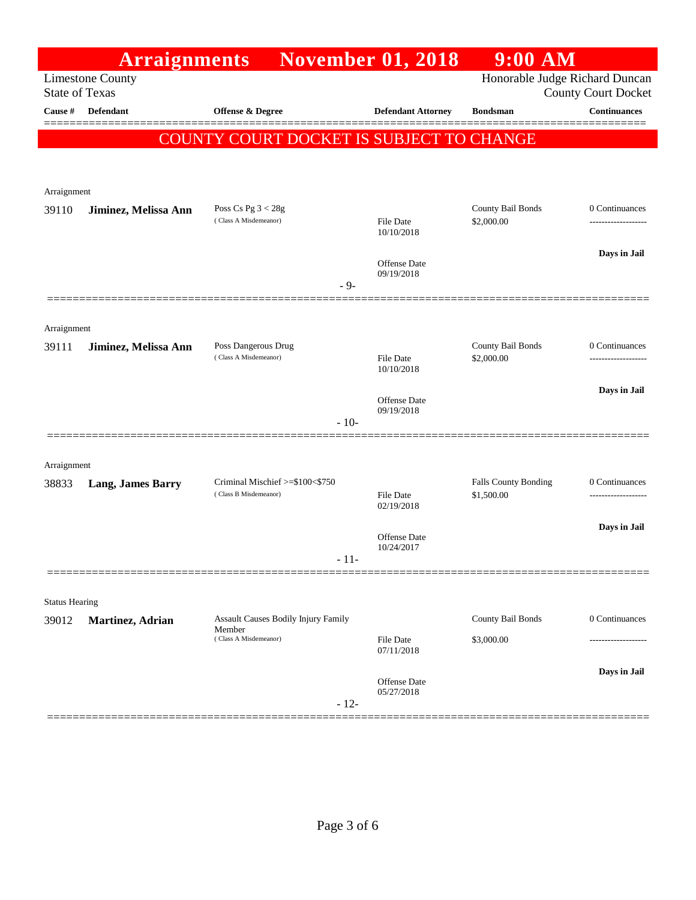|                                  | <b>Arraignments</b>      |                                                                        | <b>November 01, 2018</b>       | $9:00$ AM                       |                                                   |
|----------------------------------|--------------------------|------------------------------------------------------------------------|--------------------------------|---------------------------------|---------------------------------------------------|
|                                  | <b>Limestone County</b>  |                                                                        |                                | Honorable Judge Richard Duncan  |                                                   |
| <b>State of Texas</b><br>Cause # | <b>Defendant</b>         | <b>Offense &amp; Degree</b>                                            | <b>Defendant Attorney</b>      | <b>Bondsman</b>                 | <b>County Court Docket</b><br><b>Continuances</b> |
|                                  |                          |                                                                        |                                |                                 | =====                                             |
|                                  |                          | COUNTY COURT DOCKET IS SUBJECT TO CHANGE                               |                                |                                 |                                                   |
|                                  |                          |                                                                        |                                |                                 |                                                   |
| Arraignment                      |                          |                                                                        |                                |                                 |                                                   |
| 39110                            | Jiminez, Melissa Ann     | Poss Cs Pg $3 < 28g$                                                   |                                | County Bail Bonds               | 0 Continuances                                    |
|                                  |                          | (Class A Misdemeanor)                                                  | File Date<br>10/10/2018        | \$2,000.00                      | ----------------                                  |
|                                  |                          |                                                                        |                                |                                 | Days in Jail                                      |
|                                  |                          |                                                                        | Offense Date<br>09/19/2018     |                                 |                                                   |
|                                  |                          | $-9-$                                                                  |                                |                                 |                                                   |
|                                  |                          |                                                                        |                                |                                 |                                                   |
| Arraignment                      |                          |                                                                        |                                |                                 |                                                   |
| 39111                            | Jiminez, Melissa Ann     | Poss Dangerous Drug<br>(Class A Misdemeanor)                           | <b>File Date</b>               | County Bail Bonds<br>\$2,000.00 | 0 Continuances<br>---------------                 |
|                                  |                          |                                                                        | 10/10/2018                     |                                 |                                                   |
|                                  |                          |                                                                        | Offense Date                   |                                 | Days in Jail                                      |
|                                  |                          | $-10-$                                                                 | 09/19/2018                     |                                 |                                                   |
|                                  |                          |                                                                        |                                |                                 |                                                   |
| Arraignment                      |                          |                                                                        |                                |                                 |                                                   |
| 38833                            | <b>Lang, James Barry</b> | Criminal Mischief >=\$100<\$750                                        |                                | Falls County Bonding            | 0 Continuances                                    |
|                                  |                          | (Class B Misdemeanor)                                                  | <b>File Date</b><br>02/19/2018 | \$1,500.00                      | ---------------                                   |
|                                  |                          |                                                                        |                                |                                 | Days in Jail                                      |
|                                  |                          |                                                                        | Offense Date<br>10/24/2017     |                                 |                                                   |
|                                  |                          | - 11-                                                                  |                                |                                 |                                                   |
|                                  |                          |                                                                        |                                |                                 |                                                   |
| <b>Status Hearing</b>            |                          |                                                                        |                                |                                 |                                                   |
| 39012                            | Martinez, Adrian         | Assault Causes Bodily Injury Family<br>Member<br>(Class A Misdemeanor) |                                | County Bail Bonds               | 0 Continuances                                    |
|                                  |                          |                                                                        | <b>File Date</b><br>07/11/2018 | \$3,000.00                      |                                                   |
|                                  |                          |                                                                        |                                |                                 | Days in Jail                                      |
|                                  |                          |                                                                        | Offense Date<br>05/27/2018     |                                 |                                                   |
|                                  |                          | $-12-$                                                                 |                                |                                 |                                                   |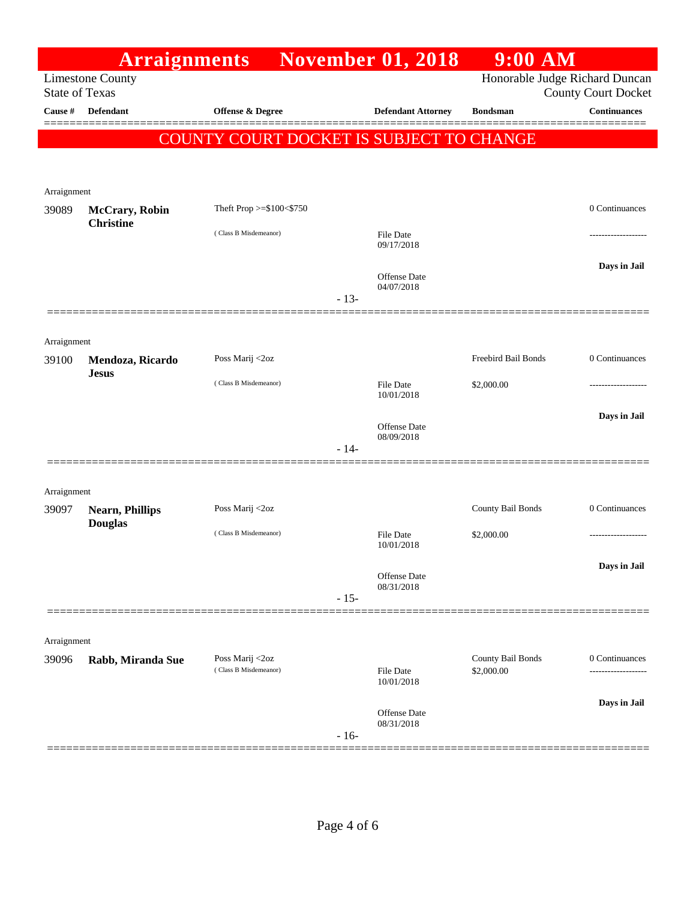|                       | <b>Arraignments</b>     |                                          |        | <b>November 01, 2018</b>       | $9:00$ AM           |                                                              |
|-----------------------|-------------------------|------------------------------------------|--------|--------------------------------|---------------------|--------------------------------------------------------------|
| <b>State of Texas</b> | <b>Limestone County</b> |                                          |        |                                |                     | Honorable Judge Richard Duncan<br><b>County Court Docket</b> |
| Cause #               | <b>Defendant</b>        | Offense & Degree                         |        | <b>Defendant Attorney</b>      | <b>Bondsman</b>     | <b>Continuances</b>                                          |
|                       |                         | COUNTY COURT DOCKET IS SUBJECT TO CHANGE |        |                                |                     |                                                              |
|                       |                         |                                          |        |                                |                     |                                                              |
|                       |                         |                                          |        |                                |                     |                                                              |
| Arraignment<br>39089  | <b>McCrary</b> , Robin  | Theft Prop >=\$100<\$750                 |        |                                |                     | 0 Continuances                                               |
|                       | <b>Christine</b>        |                                          |        |                                |                     |                                                              |
|                       |                         | (Class B Misdemeanor)                    |        | <b>File Date</b><br>09/17/2018 |                     |                                                              |
|                       |                         |                                          |        |                                |                     | Days in Jail                                                 |
|                       |                         |                                          |        | Offense Date<br>04/07/2018     |                     |                                                              |
|                       |                         |                                          | $-13-$ |                                |                     |                                                              |
|                       |                         |                                          |        |                                |                     |                                                              |
| Arraignment<br>39100  | Mendoza, Ricardo        | Poss Marij <2oz                          |        |                                | Freebird Bail Bonds | 0 Continuances                                               |
|                       | <b>Jesus</b>            | (Class B Misdemeanor)                    |        |                                |                     |                                                              |
|                       |                         |                                          |        | <b>File Date</b><br>10/01/2018 | \$2,000.00          | -----------------                                            |
|                       |                         |                                          |        | Offense Date                   |                     | Days in Jail                                                 |
|                       |                         |                                          | $-14-$ | 08/09/2018                     |                     |                                                              |
|                       |                         |                                          |        |                                |                     |                                                              |
| Arraignment           |                         |                                          |        |                                |                     |                                                              |
| 39097                 | <b>Nearn, Phillips</b>  | Poss Marij <2oz                          |        |                                | County Bail Bonds   | 0 Continuances                                               |
|                       | <b>Douglas</b>          | (Class B Misdemeanor)                    |        | <b>File Date</b>               | \$2,000.00          | .                                                            |
|                       |                         |                                          |        | 10/01/2018                     |                     |                                                              |
|                       |                         |                                          |        | Offense Date                   |                     | Days in Jail                                                 |
|                       |                         |                                          | $-15-$ | 08/31/2018                     |                     |                                                              |
|                       |                         |                                          |        |                                |                     |                                                              |
| Arraignment           |                         |                                          |        |                                |                     |                                                              |
| 39096                 | Rabb, Miranda Sue       | Poss Marij <2oz                          |        |                                | County Bail Bonds   | 0 Continuances                                               |
|                       |                         | (Class B Misdemeanor)                    |        | <b>File Date</b><br>10/01/2018 | \$2,000.00          | .                                                            |
|                       |                         |                                          |        |                                |                     | Days in Jail                                                 |
|                       |                         |                                          |        | Offense Date<br>08/31/2018     |                     |                                                              |
|                       |                         |                                          | $-16-$ |                                |                     |                                                              |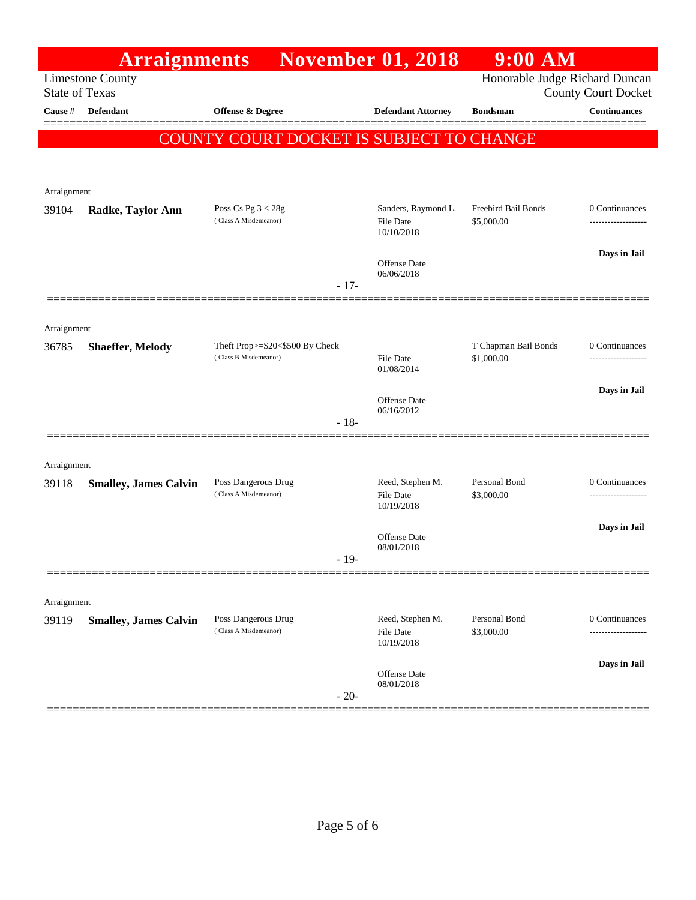|                       | <b>Arraignments</b>          |                                                          | <b>November 01, 2018</b>             | $9:00$ AM                          |                            |
|-----------------------|------------------------------|----------------------------------------------------------|--------------------------------------|------------------------------------|----------------------------|
| <b>State of Texas</b> | <b>Limestone County</b>      |                                                          |                                      | Honorable Judge Richard Duncan     | <b>County Court Docket</b> |
| Cause #               | Defendant                    | <b>Offense &amp; Degree</b>                              | <b>Defendant Attorney</b>            | <b>Bondsman</b>                    | <b>Continuances</b>        |
|                       |                              | COUNTY COURT DOCKET IS SUBJECT TO CHANGE                 |                                      |                                    |                            |
|                       |                              |                                                          |                                      |                                    |                            |
| Arraignment           |                              |                                                          |                                      |                                    |                            |
| 39104                 | <b>Radke, Taylor Ann</b>     | Poss Cs Pg $3 < 28g$                                     | Sanders, Raymond L.                  | Freebird Bail Bonds                | 0 Continuances             |
|                       |                              | (Class A Misdemeanor)                                    | File Date<br>10/10/2018              | \$5,000.00                         | -------------------        |
|                       |                              |                                                          | Offense Date                         |                                    | Days in Jail               |
|                       |                              | $-17-$                                                   | 06/06/2018                           |                                    |                            |
|                       |                              |                                                          |                                      |                                    |                            |
| Arraignment           |                              |                                                          |                                      |                                    |                            |
| 36785                 | <b>Shaeffer, Melody</b>      | Theft Prop>=\$20<\$500 By Check<br>(Class B Misdemeanor) | <b>File Date</b>                     | T Chapman Bail Bonds<br>\$1,000.00 | 0 Continuances             |
|                       |                              |                                                          | 01/08/2014                           |                                    | Days in Jail               |
|                       |                              |                                                          | Offense Date<br>06/16/2012           |                                    |                            |
|                       |                              | $-18-$                                                   |                                      |                                    |                            |
|                       |                              |                                                          |                                      |                                    |                            |
| Arraignment<br>39118  | <b>Smalley, James Calvin</b> | Poss Dangerous Drug                                      | Reed, Stephen M.                     | Personal Bond                      | 0 Continuances             |
|                       |                              | (Class A Misdemeanor)                                    | <b>File Date</b><br>10/19/2018       | \$3,000.00                         |                            |
|                       |                              |                                                          | Offense Date                         |                                    | Days in Jail               |
|                       |                              | - 19-                                                    | 08/01/2018                           |                                    |                            |
|                       |                              |                                                          |                                      |                                    |                            |
| Arraignment           |                              |                                                          |                                      |                                    |                            |
| 39119                 | <b>Smalley, James Calvin</b> | Poss Dangerous Drug<br>(Class A Misdemeanor)             | Reed, Stephen M.<br><b>File Date</b> | Personal Bond<br>\$3,000.00        | 0 Continuances             |
|                       |                              |                                                          | 10/19/2018                           |                                    |                            |
|                       |                              |                                                          | Offense Date<br>08/01/2018           |                                    | Days in Jail               |
|                       |                              | $-20-$                                                   |                                      |                                    |                            |